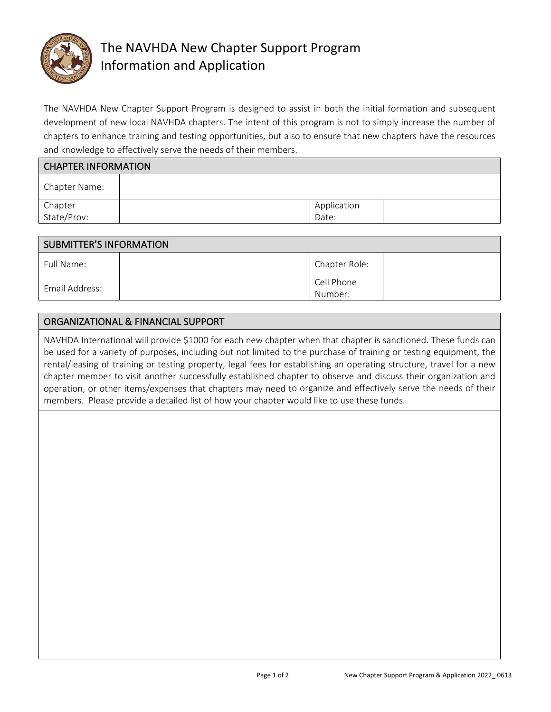

# The NAVHDA New Chapter Support Program Information and Application

The NAVHDA New Chapter Support Program is designed to assist in both the initial formation and subsequent development of new local NAVHDA chapters. The intent of this program is not to simply increase the number of chapters to enhance training and testing opportunities, but also to ensure that new chapters have the resources and knowledge to effectively serve the needs of their members.

| <b>CHAPTER INFORMATION</b> |             |  |  |  |
|----------------------------|-------------|--|--|--|
| Chapter Name:              |             |  |  |  |
| Chapter<br>State/Prov:     | Application |  |  |  |
|                            | Date:       |  |  |  |

| SUBMITTER'S INFORMATION |  |               |  |  |
|-------------------------|--|---------------|--|--|
| Full Name:              |  | Chapter Role: |  |  |
| Email Address:          |  | Cell Phone    |  |  |
|                         |  | Number:       |  |  |

## ORGANIZATIONAL & FINANCIAL SUPPORT

NAVHDA International will provide \$1000 for each new chapter when that chapter is sanctioned. These funds can be used for a variety of purposes, including but not limited to the purchase of training or testing equipment, the rental/leasing of training or testing property, legal fees for establishing an operating structure, travel for a new chapter member to visit another successfully established chapter to observe and discuss their organization and operation, or other items/expenses that chapters may need to organize and effectively serve the needs of their members. Please provide a detailed list of how your chapter would like to use these funds.